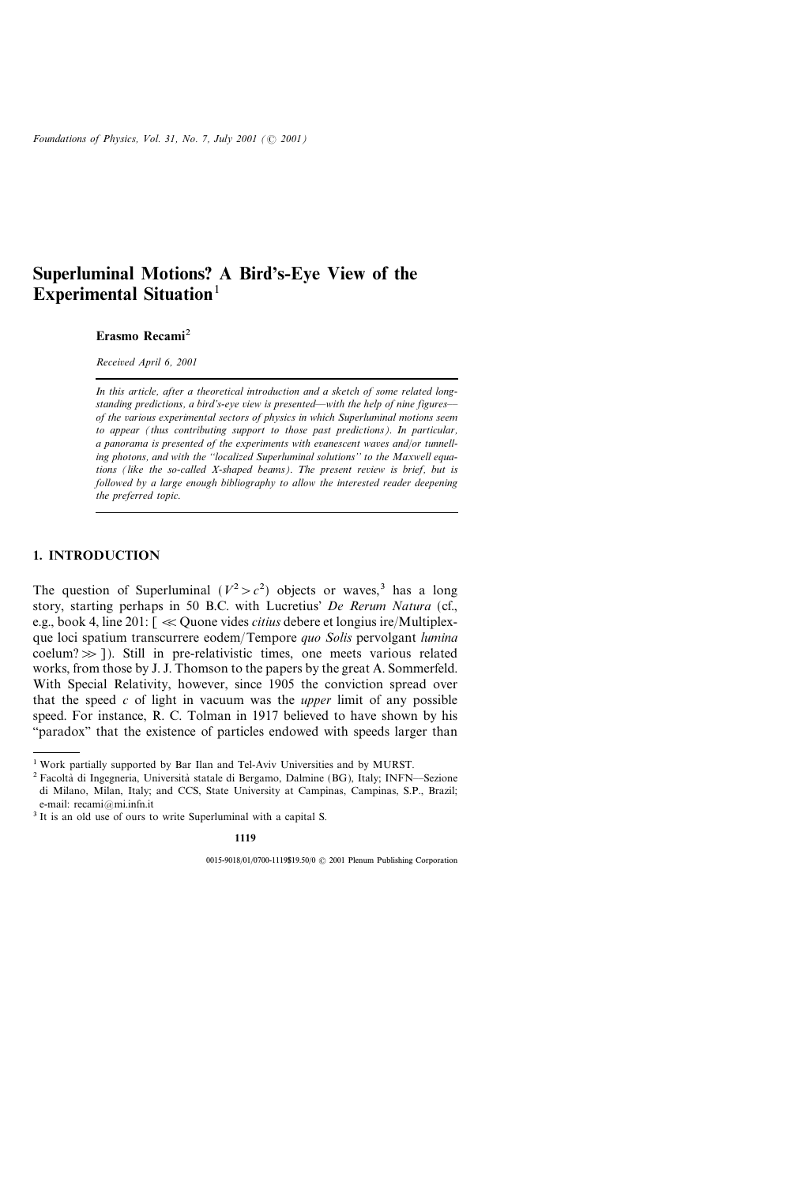# Superluminal Motions? A Bird's-Eye View of the Experimental Situation $<sup>1</sup>$ </sup>

Erasmo Recami<sup>2</sup>

Received April 6, 2001

In this article, after a theoretical introduction and a sketch of some related longstanding predictions, a bird's-eye view is presented—with the help of nine figures of the various experimental sectors of physics in which Superluminal motions seem to appear (thus contributing support to those past predictions). In particular, a panorama is presented of the experiments with evanescent waves and/or tunnelling photons, and with the "localized Superluminal solutions" to the Maxwell equations (like the so-called X-shaped beams). The present review is brief, but is followed by a large enough bibliography to allow the interested reader deepening the preferred topic.

## 1. INTRODUCTION

The question of Superluminal  $(V^2 > c^2)$  objects or waves,<sup>3</sup> has a long story, starting perhaps in 50 B.C. with Lucretius' De Rerum Natura (cf., e.g., book 4, line 201:  $\lceil \ll Q$ uone vides *citius* debere et longius ire/Multiplexque loci spatium transcurrere eodem/Tempore quo Solis pervolgant lumina  $\text{coelum?} \gg$ ]). Still in pre-relativistic times, one meets various related works, from those by J. J. Thomson to the papers by the great A. Sommerfeld. With Special Relativity, however, since 1905 the conviction spread over that the speed  $c$  of light in vacuum was the *upper* limit of any possible speed. For instance, R. C. Tolman in 1917 believed to have shown by his "paradox" that the existence of particles endowed with speeds larger than

<sup>&</sup>lt;sup>1</sup> Work partially supported by Bar Ilan and Tel-Aviv Universities and by MURST.

<sup>&</sup>lt;sup>2</sup> Facoltà di Ingegneria, Università statale di Bergamo, Dalmine (BG), Italy; INFN-Sezione di Milano, Milan, Italy; and CCS, State University at Campinas, Campinas, S.P., Brazil; e-mail: recami@mi.infn.it

<sup>&</sup>lt;sup>3</sup> It is an old use of ours to write Superluminal with a capital S.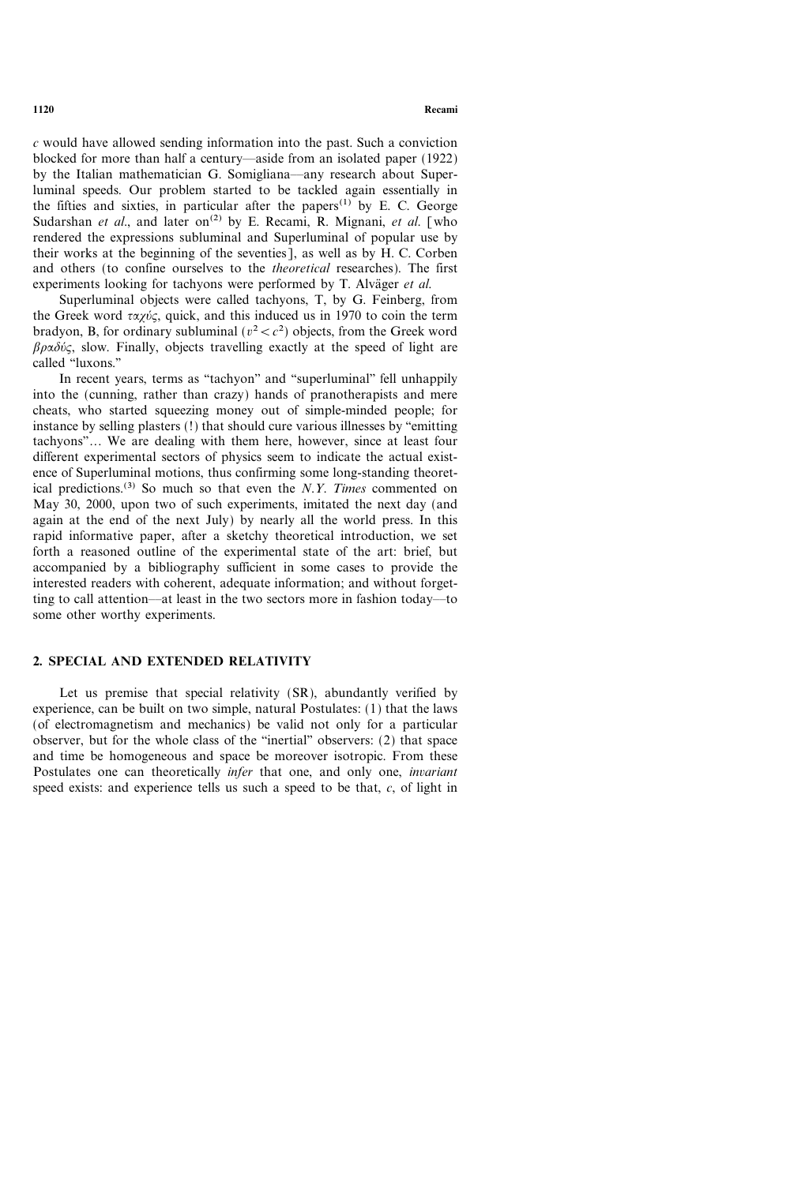c would have allowed sending information into the past. Such a conviction blocked for more than half a century—aside from an isolated paper (1922) by the Italian mathematician G. Somigliana—any research about Superluminal speeds. Our problem started to be tackled again essentially in the fifties and sixties, in particular after the papers $(1)$  by E. C. George Sudarshan et al., and later on<sup>(2)</sup> by E. Recami, R. Mignani, et al. [who rendered the expressions subluminal and Superluminal of popular use by their works at the beginning of the seventies], as well as by H. C. Corben and others (to confine ourselves to the theoretical researches). The first experiments looking for tachyons were performed by T. Alväger et al.

Superluminal objects were called tachyons, T, by G. Feinberg, from the Greek word  $\tau \alpha \chi \nu \zeta$ , quick, and this induced us in 1970 to coin the term bradyon, B, for ordinary subluminal ( $v^2 < c^2$ ) objects, from the Greek word  $\beta \rho \alpha \delta \nu \zeta$ , slow. Finally, objects travelling exactly at the speed of light are called "luxons."

In recent years, terms as "tachyon" and "superluminal" fell unhappily into the (cunning, rather than crazy) hands of pranotherapists and mere cheats, who started squeezing money out of simple-minded people; for instance by selling plasters (!) that should cure various illnesses by "emitting tachyons"... We are dealing with them here, however, since at least four different experimental sectors of physics seem to indicate the actual existence of Superluminal motions, thus confirming some long-standing theoretical predictions.<sup>(3)</sup> So much so that even the N.Y. Times commented on May 30, 2000, upon two of such experiments, imitated the next day (and again at the end of the next July) by nearly all the world press. In this rapid informative paper, after a sketchy theoretical introduction, we set forth a reasoned outline of the experimental state of the art: brief, but accompanied by a bibliography sufficient in some cases to provide the interested readers with coherent, adequate information; and without forgetting to call attention—at least in the two sectors more in fashion today—to some other worthy experiments.

### 2. SPECIAL AND EXTENDED RELATIVITY

Let us premise that special relativity (SR), abundantly verified by experience, can be built on two simple, natural Postulates: (1) that the laws (of electromagnetism and mechanics) be valid not only for a particular observer, but for the whole class of the "inertial" observers: (2) that space and time be homogeneous and space be moreover isotropic. From these Postulates one can theoretically infer that one, and only one, invariant speed exists: and experience tells us such a speed to be that,  $c$ , of light in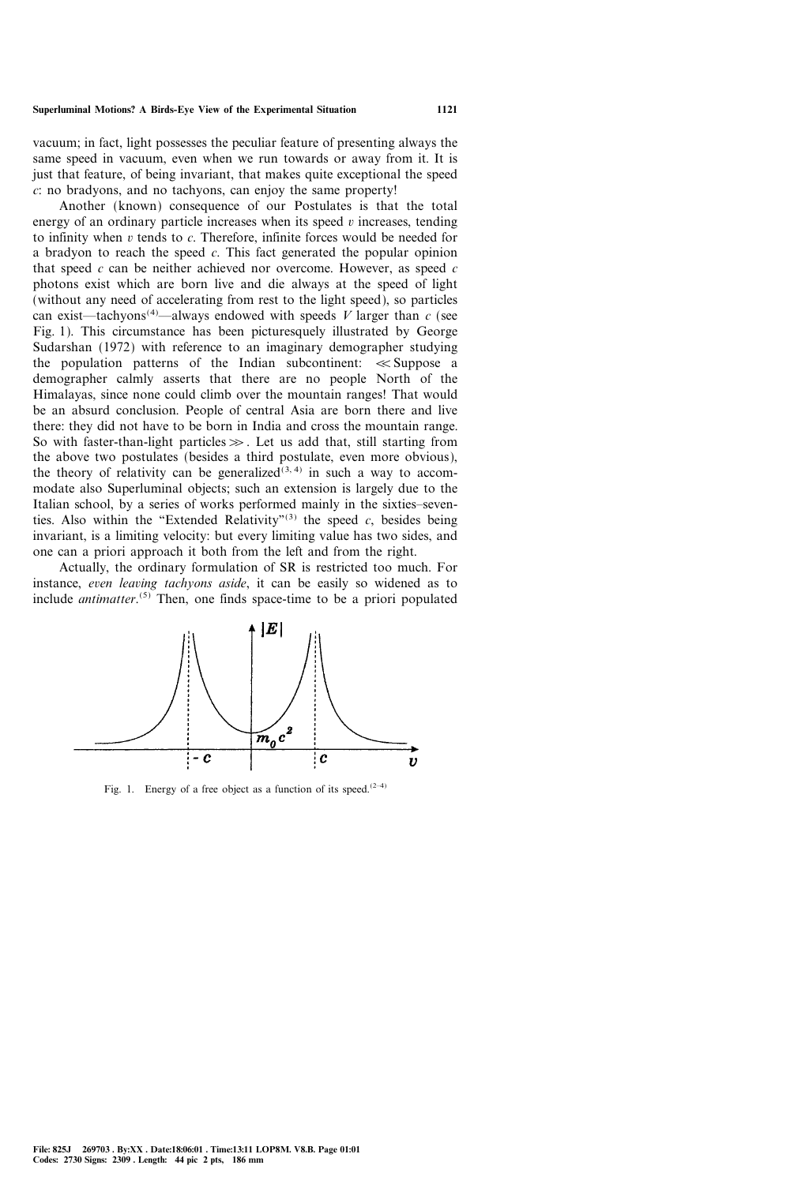vacuum; in fact, light possesses the peculiar feature of presenting always the same speed in vacuum, even when we run towards or away from it. It is just that feature, of being invariant, that makes quite exceptional the speed c: no bradyons, and no tachyons, can enjoy the same property!

Another (known) consequence of our Postulates is that the total energy of an ordinary particle increases when its speed  $v$  increases, tending to infinity when  $v$  tends to  $c$ . Therefore, infinite forces would be needed for a bradyon to reach the speed  $c$ . This fact generated the popular opinion that speed  $c$  can be neither achieved nor overcome. However, as speed  $c$ photons exist which are born live and die always at the speed of light (without any need of accelerating from rest to the light speed), so particles can exist—tachyons<sup>(4)</sup>—always endowed with speeds V larger than c (see Fig. 1). This circumstance has been picturesquely illustrated by George Sudarshan (1972) with reference to an imaginary demographer studying the population patterns of the Indian subcontinent:  $\ll$  Suppose a demographer calmly asserts that there are no people North of the Himalayas, since none could climb over the mountain ranges! That would be an absurd conclusion. People of central Asia are born there and live there: they did not have to be born in India and cross the mountain range. So with faster-than-light particles  $\gg$ . Let us add that, still starting from the above two postulates (besides a third postulate, even more obvious), the theory of relativity can be generalized<sup>(3, 4)</sup> in such a way to accommodate also Superluminal objects; such an extension is largely due to the Italian school, by a series of works performed mainly in the sixties-seventies. Also within the "Extended Relativity"<sup>(3)</sup> the speed  $c$ , besides being invariant, is a limiting velocity: but every limiting value has two sides, and one can a priori approach it both from the left and from the right.

Actually, the ordinary formulation of SR is restricted too much. For instance, even leaving tachyons aside, it can be easily so widened as to include *antimatter*.<sup>(5)</sup> Then, one finds space-time to be a priori populated



Fig. 1. Energy of a free object as a function of its speed.<sup> $(2-4)$ </sup>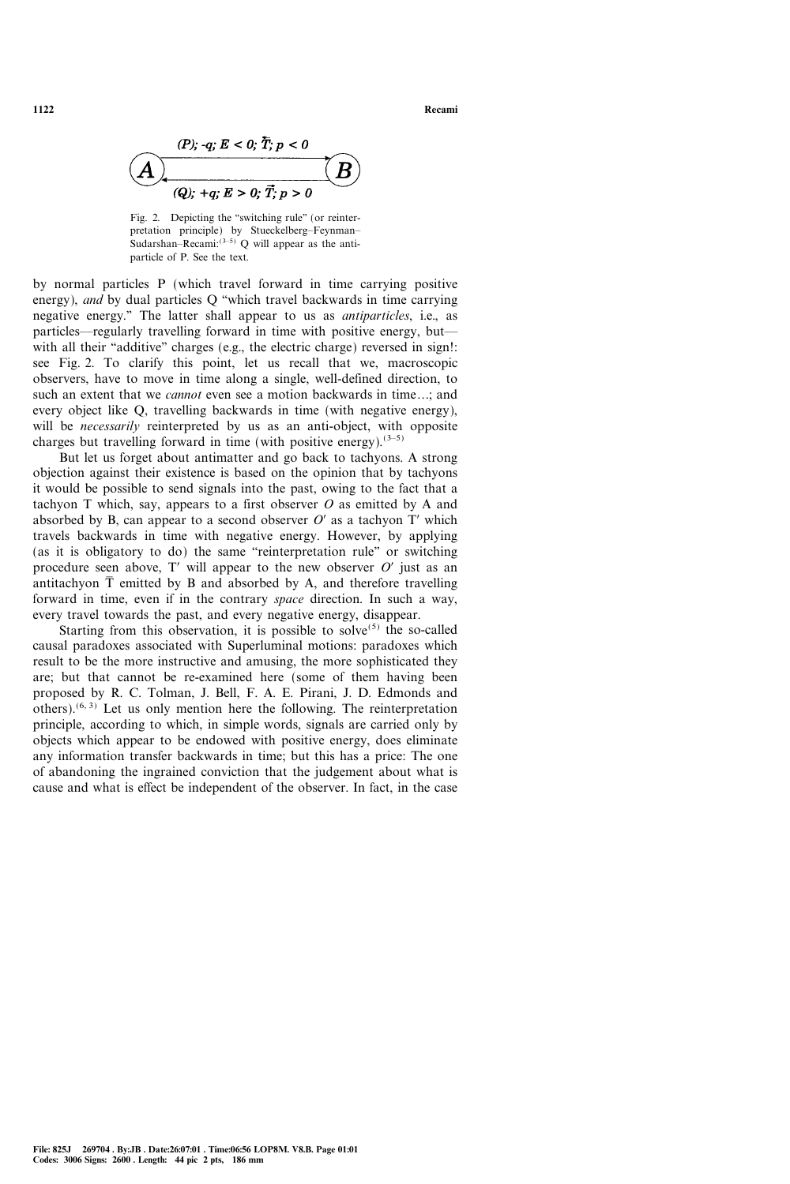

Fig. 2. Depicting the "switching rule" (or reinterpretation principle) by Stueckelberg-Feynman-Sudarshan–Recami: $(3-5)$  Q will appear as the antiparticle of P. See the text.

by normal particles P (which travel forward in time carrying positive energy), and by dual particles  $Q$  "which travel backwards in time carrying negative energy.'' The latter shall appear to us as antiparticles, i.e., as particles—regularly travelling forward in time with positive energy, but with all their "additive" charges (e.g., the electric charge) reversed in sign!: see Fig. 2. To clarify this point, let us recall that we, macroscopic observers, have to move in time along a single, well-defined direction, to such an extent that we *cannot* even see a motion backwards in time...; and every object like Q, travelling backwards in time (with negative energy), will be necessarily reinterpreted by us as an anti-object, with opposite charges but travelling forward in time (with positive energy).<sup>(3-5)</sup>

But let us forget about antimatter and go back to tachyons. A strong objection against their existence is based on the opinion that by tachyons it would be possible to send signals into the past, owing to the fact that a tachyon T which, say, appears to a first observer  $O$  as emitted by A and absorbed by B, can appear to a second observer  $O'$  as a tachyon T' which travels backwards in time with negative energy. However, by applying (as it is obligatory to do) the same "reinterpretation rule" or switching procedure seen above, T' will appear to the new observer  $O'$  just as an antitachyon  $\overline{T}$  emitted by B and absorbed by A, and therefore travelling forward in time, even if in the contrary space direction. In such a way, every travel towards the past, and every negative energy, disappear.

Starting from this observation, it is possible to solve<sup>(5)</sup> the so-called causal paradoxes associated with Superluminal motions: paradoxes which result to be the more instructive and amusing, the more sophisticated they are; but that cannot be re-examined here (some of them having been proposed by R. C. Tolman, J. Bell, F. A. E. Pirani, J. D. Edmonds and others).<sup> $(6, 3)$ </sup> Let us only mention here the following. The reinterpretation principle, according to which, in simple words, signals are carried only by objects which appear to be endowed with positive energy, does eliminate any information transfer backwards in time; but this has a price: The one of abandoning the ingrained conviction that the judgement about what is cause and what is effect be independent of the observer. In fact, in the case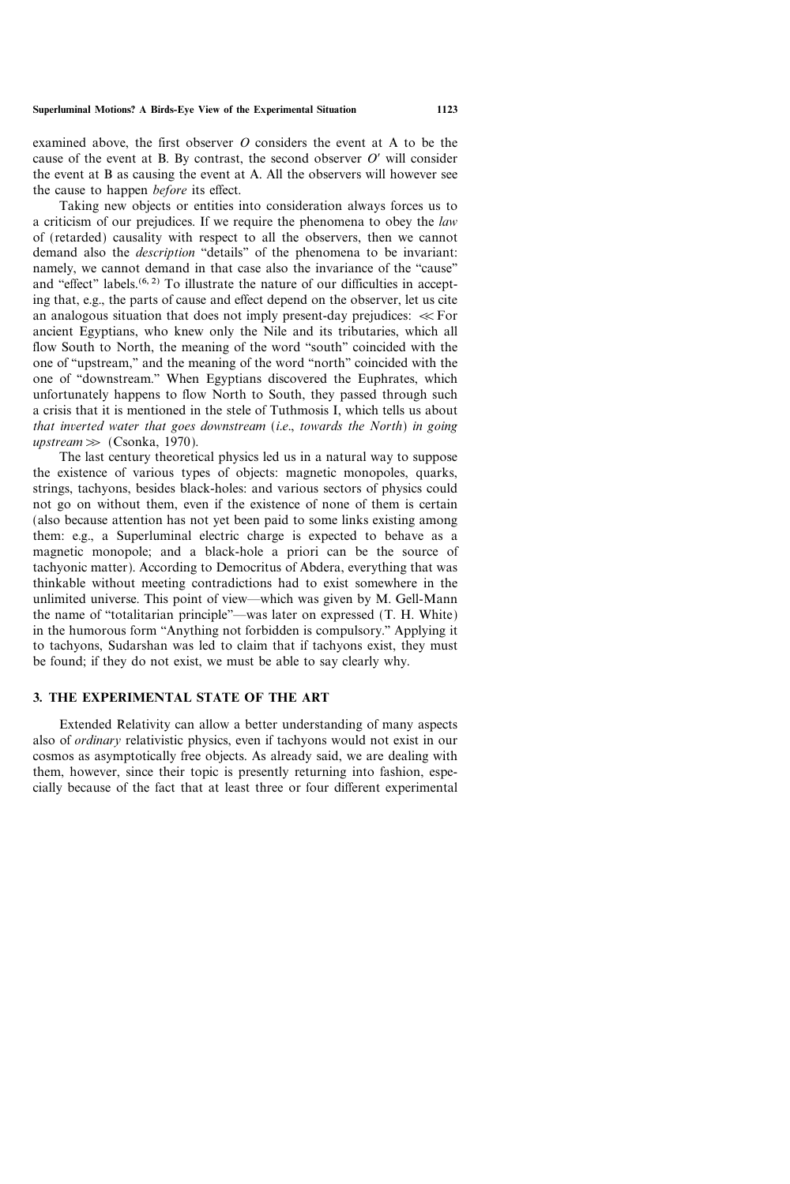examined above, the first observer  $O$  considers the event at A to be the cause of the event at B. By contrast, the second observer  $O'$  will consider the event at B as causing the event at A. All the observers will however see the cause to happen before its effect.

Taking new objects or entities into consideration always forces us to a criticism of our prejudices. If we require the phenomena to obey the law of (retarded) causality with respect to all the observers, then we cannot demand also the *description* "details" of the phenomena to be invariant: namely, we cannot demand in that case also the invariance of the "cause" and "effect" labels.<sup> $(6, 2)$ </sup> To illustrate the nature of our difficulties in accepting that, e.g., the parts of cause and effect depend on the observer, let us cite an analogous situation that does not imply present-day prejudices:  $\ll$  For ancient Egyptians, who knew only the Nile and its tributaries, which all flow South to North, the meaning of the word "south" coincided with the one of "upstream," and the meaning of the word "north" coincided with the one of "downstream." When Egyptians discovered the Euphrates, which unfortunately happens to flow North to South, they passed through such a crisis that it is mentioned in the stele of Tuthmosis I, which tells us about that inverted water that goes downstream (i.e., towards the North) in going  $upstream \gg (Csonka, 1970).$ 

The last century theoretical physics led us in a natural way to suppose the existence of various types of objects: magnetic monopoles, quarks, strings, tachyons, besides black-holes: and various sectors of physics could not go on without them, even if the existence of none of them is certain (also because attention has not yet been paid to some links existing among them: e.g., a Superluminal electric charge is expected to behave as a magnetic monopole; and a black-hole a priori can be the source of tachyonic matter). According to Democritus of Abdera, everything that was thinkable without meeting contradictions had to exist somewhere in the unlimited universe. This point of view—which was given by M. Gell-Mann the name of "totalitarian principle"—was later on expressed  $(T. H.$  White) in the humorous form "Anything not forbidden is compulsory." Applying it to tachyons, Sudarshan was led to claim that if tachyons exist, they must be found; if they do not exist, we must be able to say clearly why.

# 3. THE EXPERIMENTAL STATE OF THE ART

Extended Relativity can allow a better understanding of many aspects also of ordinary relativistic physics, even if tachyons would not exist in our cosmos as asymptotically free objects. As already said, we are dealing with them, however, since their topic is presently returning into fashion, especially because of the fact that at least three or four different experimental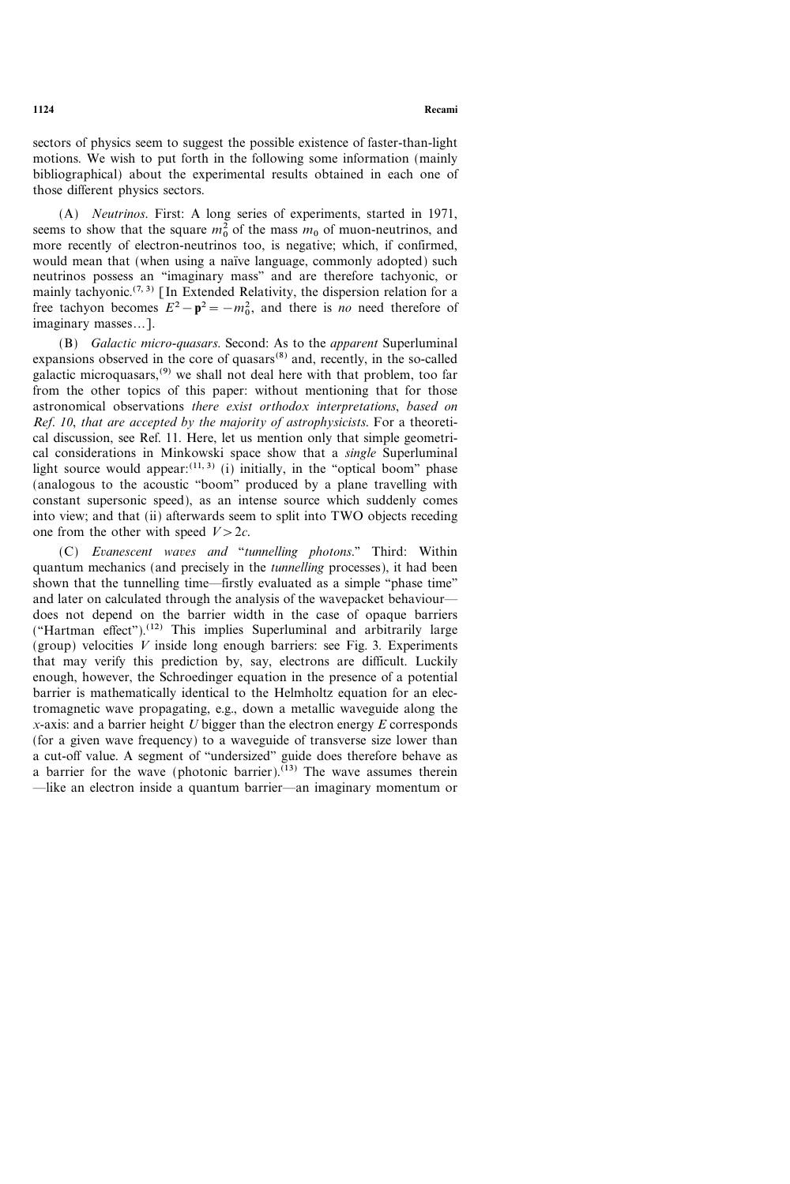sectors of physics seem to suggest the possible existence of faster-than-light motions. We wish to put forth in the following some information (mainly bibliographical) about the experimental results obtained in each one of those different physics sectors.

(A) Neutrinos. First: A long series of experiments, started in 1971, seems to show that the square  $m_0^2$  of the mass  $m_0$  of muon-neutrinos, and more recently of electron-neutrinos too, is negative; which, if confirmed, would mean that (when using a naïve language, commonly adopted) such neutrinos possess an "imaginary mass" and are therefore tachyonic, or mainly tachyonic.<sup> $(7, 3)$ </sup> [In Extended Relativity, the dispersion relation for a free tachyon becomes  $E^2 - \mathbf{p}^2 = -m_0^2$ , and there is no need therefore of imaginary masses...].

(B) Galactic micro-quasars. Second: As to the apparent Superluminal expansions observed in the core of quasars $^{(8)}$  and, recently, in the so-called galactic microquasars,(9) we shall not deal here with that problem, too far from the other topics of this paper: without mentioning that for those astronomical observations there exist orthodox interpretations, based on Ref. 10, that are accepted by the majority of astrophysicists. For a theoretical discussion, see Ref. 11. Here, let us mention only that simple geometrical considerations in Minkowski space show that a single Superluminal light source would appear: $(11, 3)$  (i) initially, in the "optical boom" phase (analogous to the acoustic "boom" produced by a plane travelling with constant supersonic speed), as an intense source which suddenly comes into view; and that (ii) afterwards seem to split into TWO objects receding one from the other with speed  $V>2c$ .

(C) Evanescent waves and ``tunnelling photons.'' Third: Within quantum mechanics (and precisely in the *tunnelling* processes), it had been shown that the tunnelling time—firstly evaluated as a simple "phase time" and later on calculated through the analysis of the wavepacket behaviour does not depend on the barrier width in the case of opaque barriers ("Hartman effect").<sup>(12)</sup> This implies Superluminal and arbitrarily large (group) velocities  $V$  inside long enough barriers: see Fig. 3. Experiments that may verify this prediction by, say, electrons are difficult. Luckily enough, however, the Schroedinger equation in the presence of a potential barrier is mathematically identical to the Helmholtz equation for an electromagnetic wave propagating, e.g., down a metallic waveguide along the  $x$ -axis: and a barrier height U bigger than the electron energy  $E$  corresponds (for a given wave frequency) to a waveguide of transverse size lower than a cut-off value. A segment of "undersized" guide does therefore behave as a barrier for the wave (photonic barrier).<sup> $(13)$ </sup> The wave assumes therein -like an electron inside a quantum barrier-an imaginary momentum or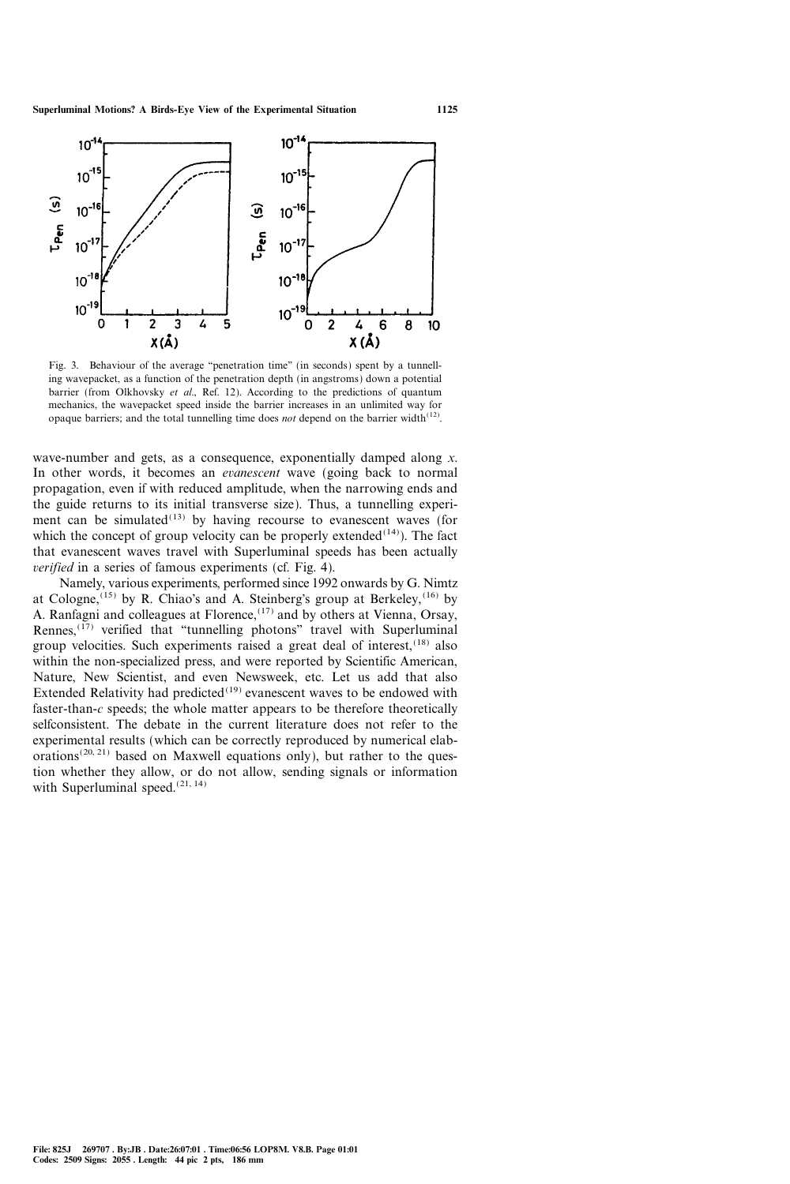

Fig. 3. Behaviour of the average "penetration time" (in seconds) spent by a tunnelling wavepacket, as a function of the penetration depth (in angstroms) down a potential barrier (from Olkhovsky et al., Ref. 12). According to the predictions of quantum mechanics, the wavepacket speed inside the barrier increases in an unlimited way for opaque barriers; and the total tunnelling time does *not* depend on the barrier width<sup>(12)</sup>.

wave-number and gets, as a consequence, exponentially damped along  $x$ . In other words, it becomes an evanescent wave (going back to normal propagation, even if with reduced amplitude, when the narrowing ends and the guide returns to its initial transverse size). Thus, a tunnelling experiment can be simulated<sup> $(13)$ </sup> by having recourse to evanescent waves (for which the concept of group velocity can be properly extended<sup> $(14)$ </sup>). The fact that evanescent waves travel with Superluminal speeds has been actually verified in a series of famous experiments (cf. Fig. 4).

Namely, various experiments, performed since 1992 onwards by G. Nimtz at Cologne,  $^{(15)}$  by R. Chiao's and A. Steinberg's group at Berkeley,  $^{(16)}$  by A. Ranfagni and colleagues at Florence,  $(17)$  and by others at Vienna, Orsay, Rennes, $(17)$  verified that "tunnelling photons" travel with Superluminal group velocities. Such experiments raised a great deal of interest,  $(18)$  also within the non-specialized press, and were reported by Scientific American, Nature, New Scientist, and even Newsweek, etc. Let us add that also Extended Relativity had predicted<sup> $(19)$ </sup> evanescent waves to be endowed with faster-than- $c$  speeds; the whole matter appears to be therefore theoretically selfconsistent. The debate in the current literature does not refer to the experimental results (which can be correctly reproduced by numerical elaborations<sup> $(20, 21)$ </sup> based on Maxwell equations only), but rather to the question whether they allow, or do not allow, sending signals or information with Superluminal speed. $(21, 14)$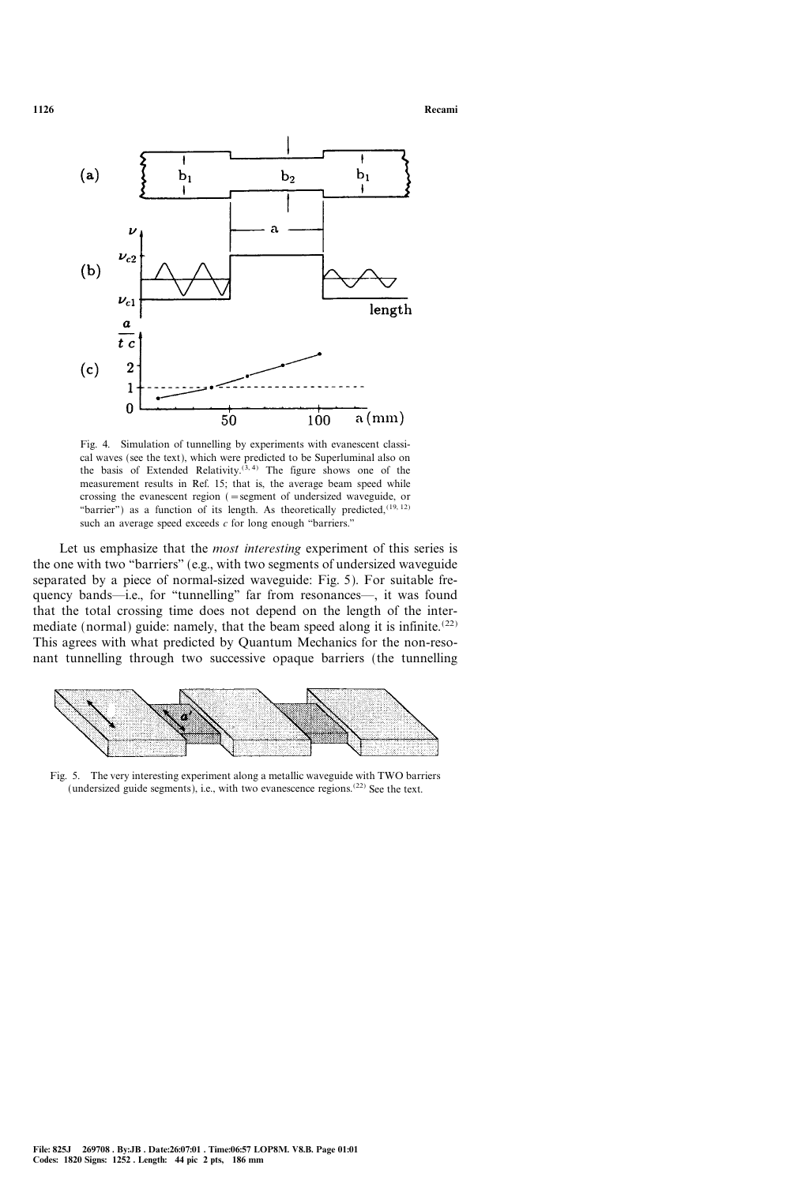

Fig. 4. Simulation of tunnelling by experiments with evanescent classical waves (see the text), which were predicted to be Superluminal also on the basis of Extended Relativity.<sup> $(3, 4)$ </sup> The figure shows one of the measurement results in Ref. 15; that is, the average beam speed while crossing the evanescent region (=segment of undersized waveguide, or "barrier") as a function of its length. As theoretically predicted,  $(19, 12)$ such an average speed exceeds  $c$  for long enough "barriers."

Let us emphasize that the *most interesting* experiment of this series is the one with two "barriers" (e.g., with two segments of undersized waveguide separated by a piece of normal-sized waveguide: Fig. 5). For suitable frequency bands—i.e., for "tunnelling" far from resonances—, it was found that the total crossing time does not depend on the length of the intermediate (normal) guide: namely, that the beam speed along it is infinite.<sup> $(22)$ </sup> This agrees with what predicted by Quantum Mechanics for the non-resonant tunnelling through two successive opaque barriers (the tunnelling



Fig. 5. The very interesting experiment along a metallic waveguide with TWO barriers (undersized guide segments), i.e., with two evanescence regions.<sup> $(22)$ </sup> See the text.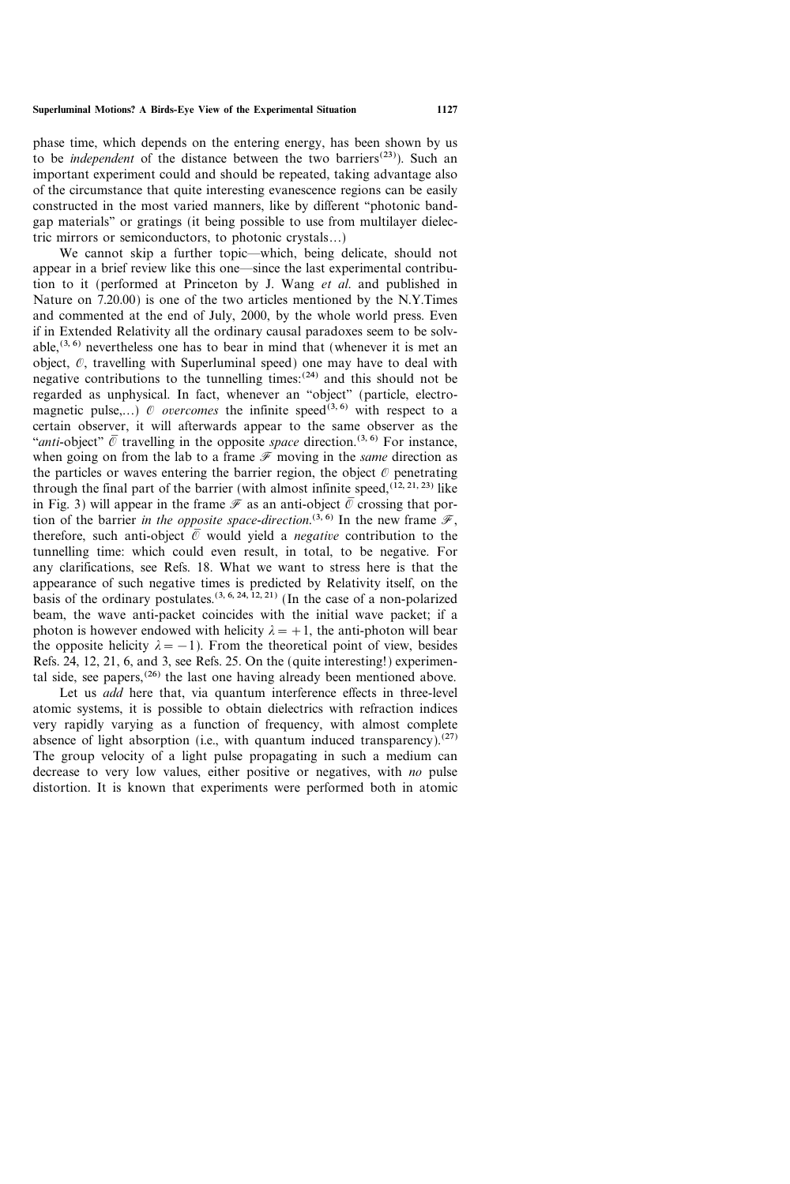phase time, which depends on the entering energy, has been shown by us to be *independent* of the distance between the two barriers<sup>(23)</sup>). Such an important experiment could and should be repeated, taking advantage also of the circumstance that quite interesting evanescence regions can be easily constructed in the most varied manners, like by different "photonic bandgap materials'' or gratings (it being possible to use from multilayer dielectric mirrors or semiconductors, to photonic crystals.. .)

We cannot skip a further topic—which, being delicate, should not appear in a brief review like this one—since the last experimental contribution to it (performed at Princeton by J. Wang et al. and published in Nature on 7.20.00) is one of the two articles mentioned by the N.Y.Times and commented at the end of July, 2000, by the whole world press. Even if in Extended Relativity all the ordinary causal paradoxes seem to be solvable,<sup>(3, 6)</sup> nevertheless one has to bear in mind that (whenever it is met an object, O, travelling with Superluminal speed) one may have to deal with negative contributions to the tunnelling times:<sup>(24)</sup> and this should not be regarded as unphysical. In fact, whenever an "object" (particle, electromagnetic pulse,...)  $\emptyset$  overcomes the infinite speed<sup>(3,6)</sup> with respect to a certain observer, it will afterwards appear to the same observer as the "anti-object"  $\overline{O}$  travelling in the opposite space direction.<sup>(3, 6)</sup> For instance, when going on from the lab to a frame  $\mathcal F$  moving in the *same* direction as the particles or waves entering the barrier region, the object  $\theta$  penetrating through the final part of the barrier (with almost infinite speed,  $(12, 21, 23)$  like in Fig. 3) will appear in the frame  $\mathcal F$  as an anti-object  $\overline{\mathcal{O}}$  crossing that portion of the barrier in the opposite space-direction.<sup>(3, 6)</sup> In the new frame  $\mathscr{F}$ , therefore, such anti-object  $\overline{0}$  would yield a *negative* contribution to the tunnelling time: which could even result, in total, to be negative. For any clarifications, see Refs. 18. What we want to stress here is that the appearance of such negative times is predicted by Relativity itself, on the  $b$ asis of the ordinary postulates.<sup>(3, 6, 24, 12, 21)</sup> (In the case of a non-polarized beam, the wave anti-packet coincides with the initial wave packet; if a photon is however endowed with helicity  $\lambda = +1$ , the anti-photon will bear the opposite helicity  $\lambda = -1$ ). From the theoretical point of view, besides Refs. 24, 12, 21, 6, and 3, see Refs. 25. On the (quite interesting!) experimental side, see papers,<sup>(26)</sup> the last one having already been mentioned above.

Let us *add* here that, via quantum interference effects in three-level atomic systems, it is possible to obtain dielectrics with refraction indices very rapidly varying as a function of frequency, with almost complete absence of light absorption (i.e., with quantum induced transparency).<sup>(27)</sup> The group velocity of a light pulse propagating in such a medium can decrease to very low values, either positive or negatives, with no pulse distortion. It is known that experiments were performed both in atomic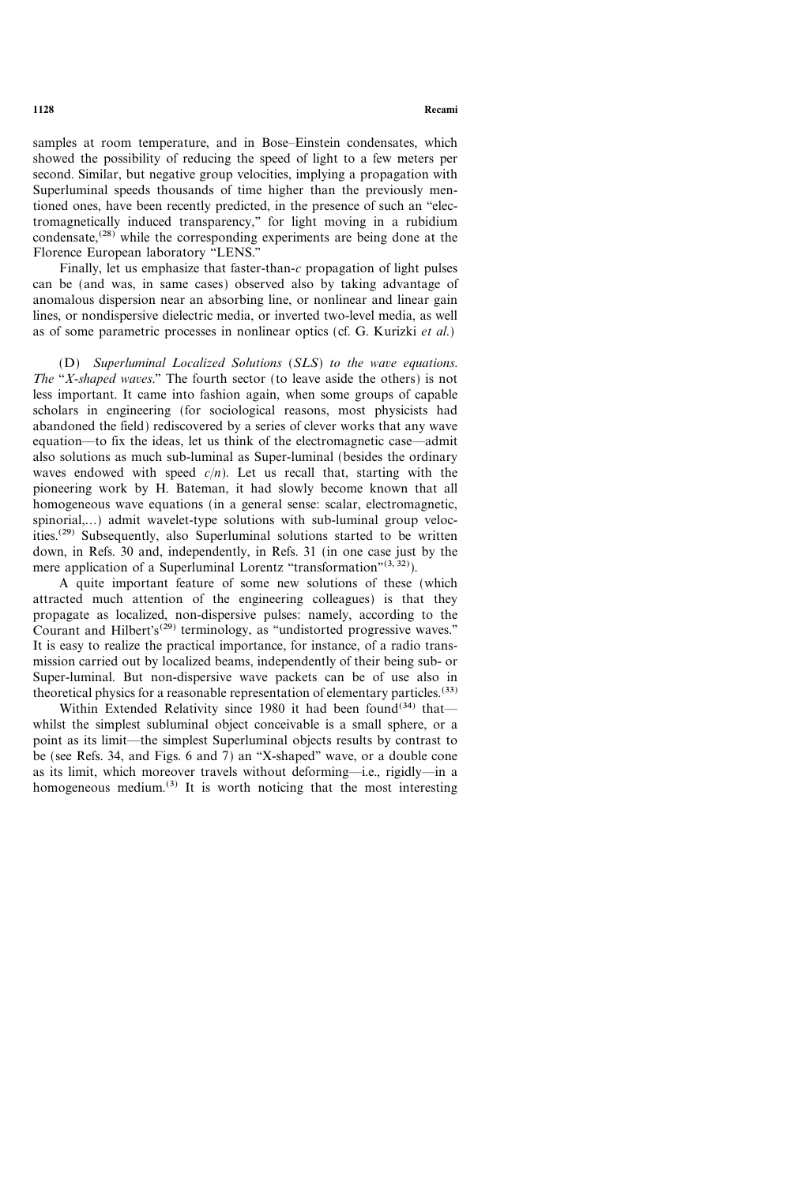samples at room temperature, and in Bose-Einstein condensates, which showed the possibility of reducing the speed of light to a few meters per second. Similar, but negative group velocities, implying a propagation with Superluminal speeds thousands of time higher than the previously mentioned ones, have been recently predicted, in the presence of such an "electromagnetically induced transparency,'' for light moving in a rubidium condensate,<sup>(28)</sup> while the corresponding experiments are being done at the Florence European laboratory "LENS."

Finally, let us emphasize that faster-than- $c$  propagation of light pulses can be (and was, in same cases) observed also by taking advantage of anomalous dispersion near an absorbing line, or nonlinear and linear gain lines, or nondispersive dielectric media, or inverted two-level media, as well as of some parametric processes in nonlinear optics (cf. G. Kurizki et al.)

(D) Superluminal Localized Solutions (SLS) to the wave equations. The "X-shaped waves." The fourth sector (to leave aside the others) is not less important. It came into fashion again, when some groups of capable scholars in engineering (for sociological reasons, most physicists had abandoned the field) rediscovered by a series of clever works that any wave equation—to fix the ideas, let us think of the electromagnetic case—admit also solutions as much sub-luminal as Super-luminal (besides the ordinary waves endowed with speed  $c/n$ ). Let us recall that, starting with the pioneering work by H. Bateman, it had slowly become known that all homogeneous wave equations (in a general sense: scalar, electromagnetic, spinorial,...) admit wavelet-type solutions with sub-luminal group velocities.(29) Subsequently, also Superluminal solutions started to be written down, in Refs. 30 and, independently, in Refs. 31 (in one case just by the mere application of a Superluminal Lorentz "transformation" $(3, 32)$ ).

A quite important feature of some new solutions of these (which attracted much attention of the engineering colleagues) is that they propagate as localized, non-dispersive pulses: namely, according to the Courant and Hilbert's<sup> $(29)$ </sup> terminology, as "undistorted progressive waves." It is easy to realize the practical importance, for instance, of a radio transmission carried out by localized beams, independently of their being sub- or Super-luminal. But non-dispersive wave packets can be of use also in theoretical physics for a reasonable representation of elementary particles.<sup>(33)</sup>

Within Extended Relativity since 1980 it had been found<sup>(34)</sup> thatwhilst the simplest subluminal object conceivable is a small sphere, or a point as its limit—the simplest Superluminal objects results by contrast to be (see Refs. 34, and Figs. 6 and 7) an "X-shaped" wave, or a double cone as its limit, which moreover travels without deforming-i.e., rigidly-in a homogeneous medium.<sup>(3)</sup> It is worth noticing that the most interesting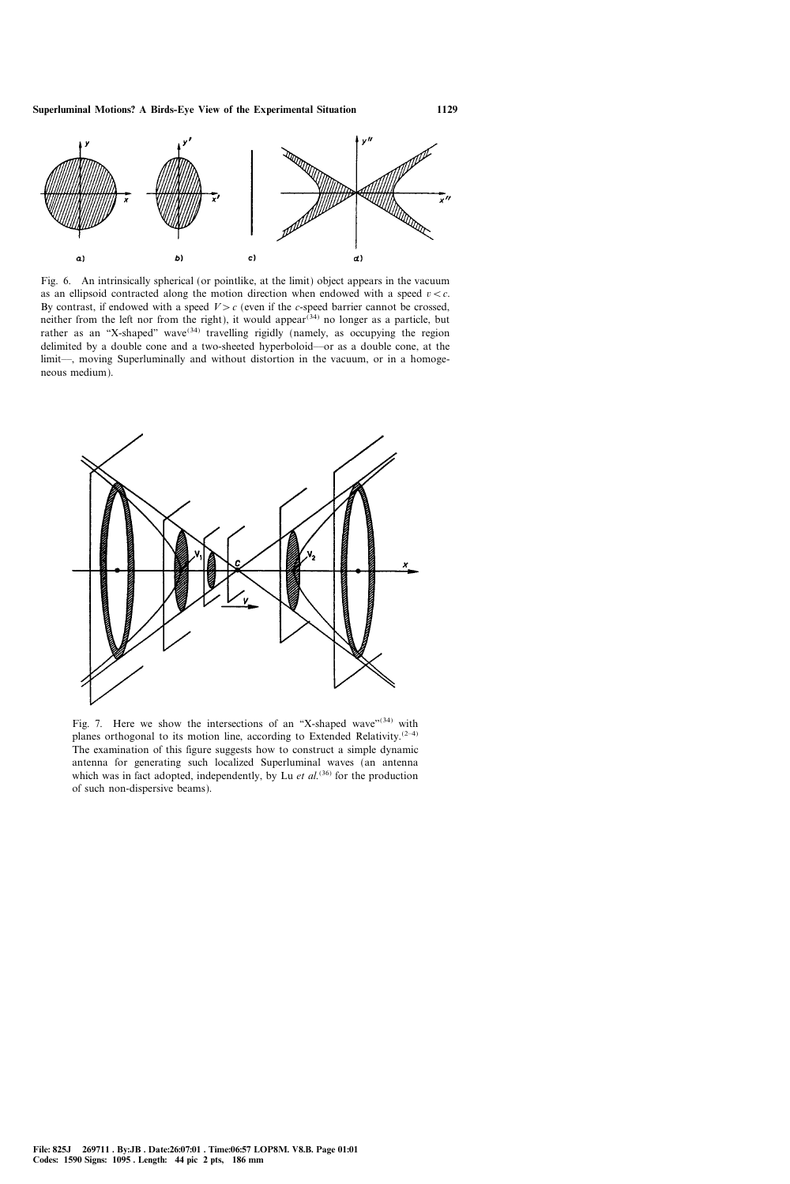

Fig. 6. An intrinsically spherical (or pointlike, at the limit) object appears in the vacuum as an ellipsoid contracted along the motion direction when endowed with a speed  $v < c$ . By contrast, if endowed with a speed  $V>c$  (even if the c-speed barrier cannot be crossed, neither from the left nor from the right), it would appear<sup>(34)</sup> no longer as a particle, but rather as an "X-shaped" wave<sup>(34)</sup> travelling rigidly (namely, as occupying the region delimited by a double cone and a two-sheeted hyperboloid—or as a double cone, at the limit—, moving Superluminally and without distortion in the vacuum, or in a homogeneous medium).



Fig. 7. Here we show the intersections of an "X-shaped wave"<sup>(34)</sup> with planes orthogonal to its motion line, according to Extended Relativity.<sup> $(2-4)$ </sup> The examination of this figure suggests how to construct a simple dynamic antenna for generating such localized Superluminal waves (an antenna which was in fact adopted, independently, by Lu  $et$   $al.^{(36)}$  for the production of such non-dispersive beams).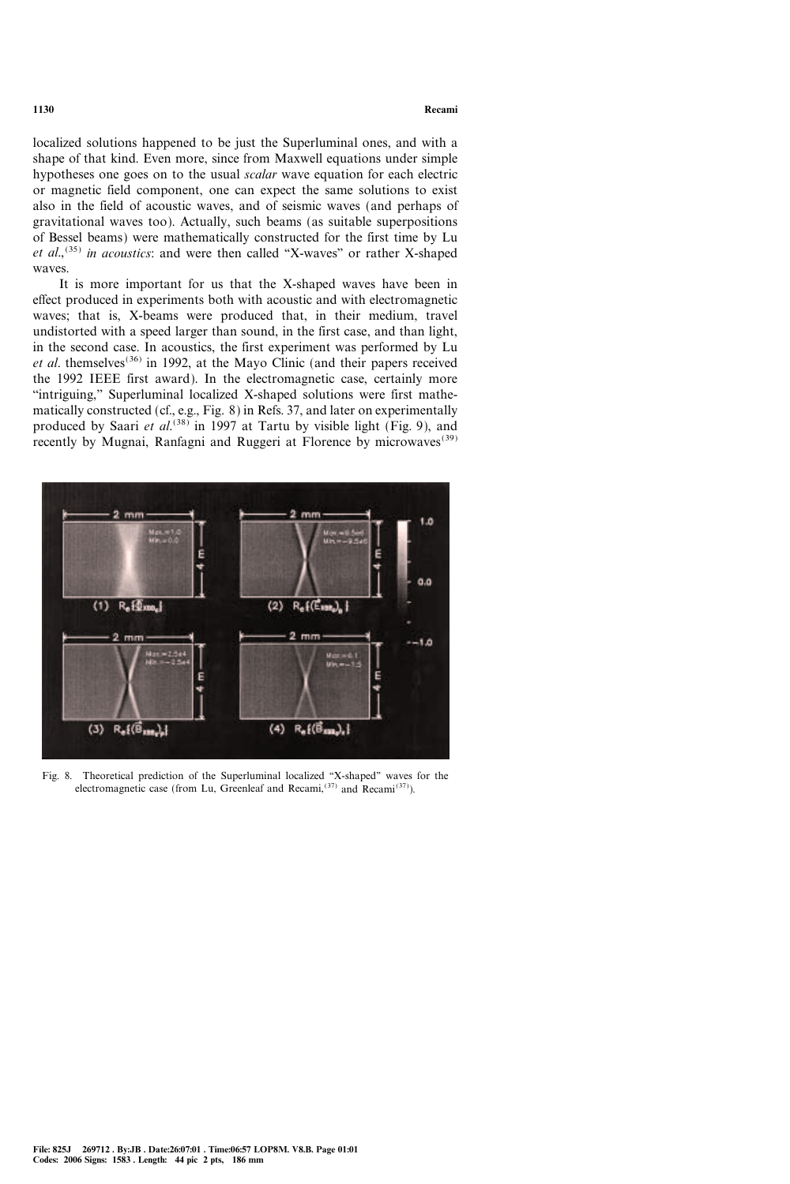localized solutions happened to be just the Superluminal ones, and with a shape of that kind. Even more, since from Maxwell equations under simple hypotheses one goes on to the usual scalar wave equation for each electric or magnetic field component, one can expect the same solutions to exist also in the field of acoustic waves, and of seismic waves (and perhaps of gravitational waves too). Actually, such beams (as suitable superpositions of Bessel beams) were mathematically constructed for the first time by Lu et al.,<sup>(35)</sup> in acoustics: and were then called "X-waves" or rather X-shaped waves.

It is more important for us that the X-shaped waves have been in effect produced in experiments both with acoustic and with electromagnetic waves; that is, X-beams were produced that, in their medium, travel undistorted with a speed larger than sound, in the first case, and than light, in the second case. In acoustics, the first experiment was performed by Lu *et al.* themselves<sup>(36)</sup> in 1992, at the Mayo Clinic (and their papers received the 1992 IEEE first award). In the electromagnetic case, certainly more ``intriguing,'' Superluminal localized X-shaped solutions were first mathematically constructed (cf., e.g., Fig. 8) in Refs. 37, and later on experimentally produced by Saari et al.<sup>(38)</sup> in 1997 at Tartu by visible light (Fig. 9), and recently by Mugnai, Ranfagni and Ruggeri at Florence by microwaves<sup>(39)</sup>



Fig. 8. Theoretical prediction of the Superluminal localized "X-shaped" waves for the electromagnetic case (from Lu, Greenleaf and Recami,  $(37)$  and Recami $(37)$ ).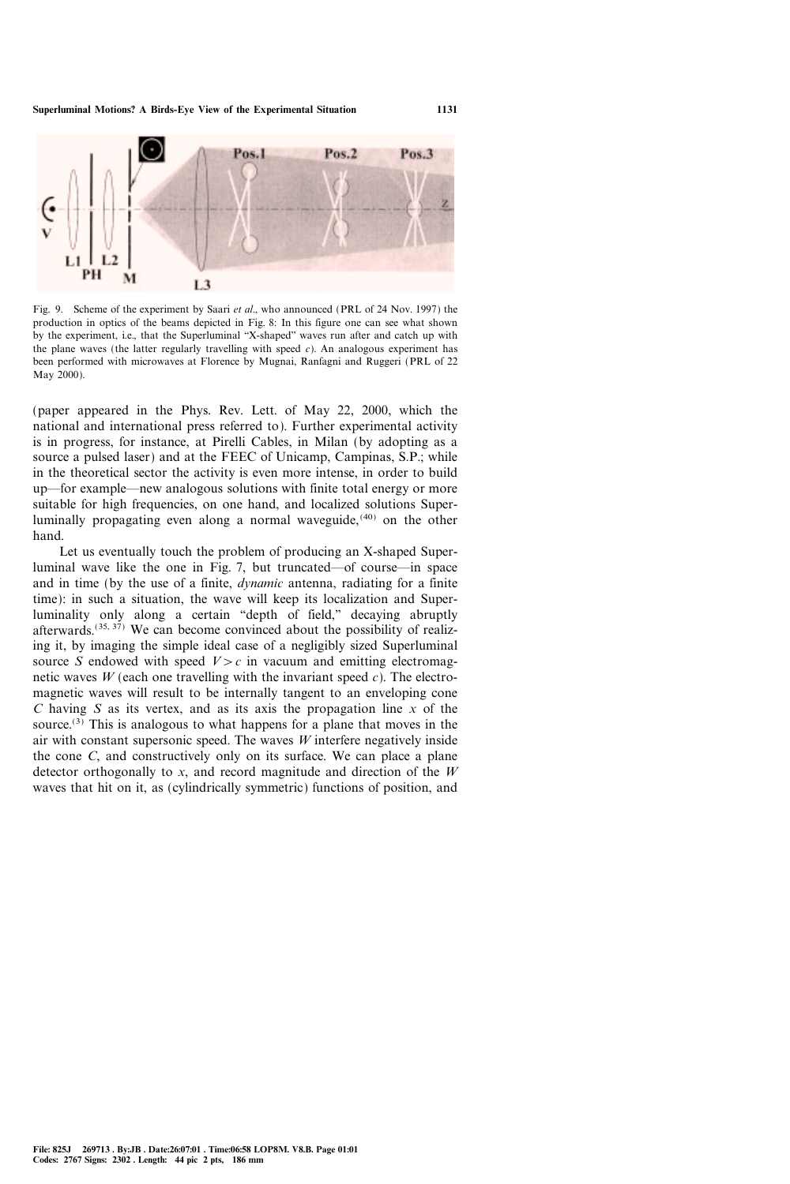

Fig. 9. Scheme of the experiment by Saari et al., who announced (PRL of 24 Nov. 1997) the production in optics of the beams depicted in Fig. 8: In this figure one can see what shown by the experiment, i.e., that the Superluminal "X-shaped" waves run after and catch up with the plane waves (the latter regularly travelling with speed  $c$ ). An analogous experiment has been performed with microwaves at Florence by Mugnai, Ranfagni and Ruggeri (PRL of 22 May 2000).

(paper appeared in the Phys. Rev. Lett. of May 22, 2000, which the national and international press referred to). Further experimental activity is in progress, for instance, at Pirelli Cables, in Milan (by adopting as a source a pulsed laser) and at the FEEC of Unicamp, Campinas, S.P.; while in the theoretical sector the activity is even more intense, in order to build up—for example—new analogous solutions with finite total energy or more suitable for high frequencies, on one hand, and localized solutions Superluminally propagating even along a normal waveguide, $(40)$  on the other hand.

Let us eventually touch the problem of producing an X-shaped Superluminal wave like the one in Fig. 7, but truncated—of course—in space and in time (by the use of a finite, dynamic antenna, radiating for a finite time): in such a situation, the wave will keep its localization and Superluminality only along a certain "depth of field," decaying abruptly afterwards.<sup> $(35, 37)$ </sup> We can become convinced about the possibility of realizing it, by imaging the simple ideal case of a negligibly sized Superluminal source S endowed with speed  $V>c$  in vacuum and emitting electromagnetic waves  $W$  (each one travelling with the invariant speed  $c$ ). The electromagnetic waves will result to be internally tangent to an enveloping cone C having S as its vertex, and as its axis the propagation line  $x$  of the source.<sup>(3)</sup> This is analogous to what happens for a plane that moves in the air with constant supersonic speed. The waves  $W$  interfere negatively inside the cone C, and constructively only on its surface. We can place a plane detector orthogonally to  $x$ , and record magnitude and direction of the  $W$ waves that hit on it, as (cylindrically symmetric) functions of position, and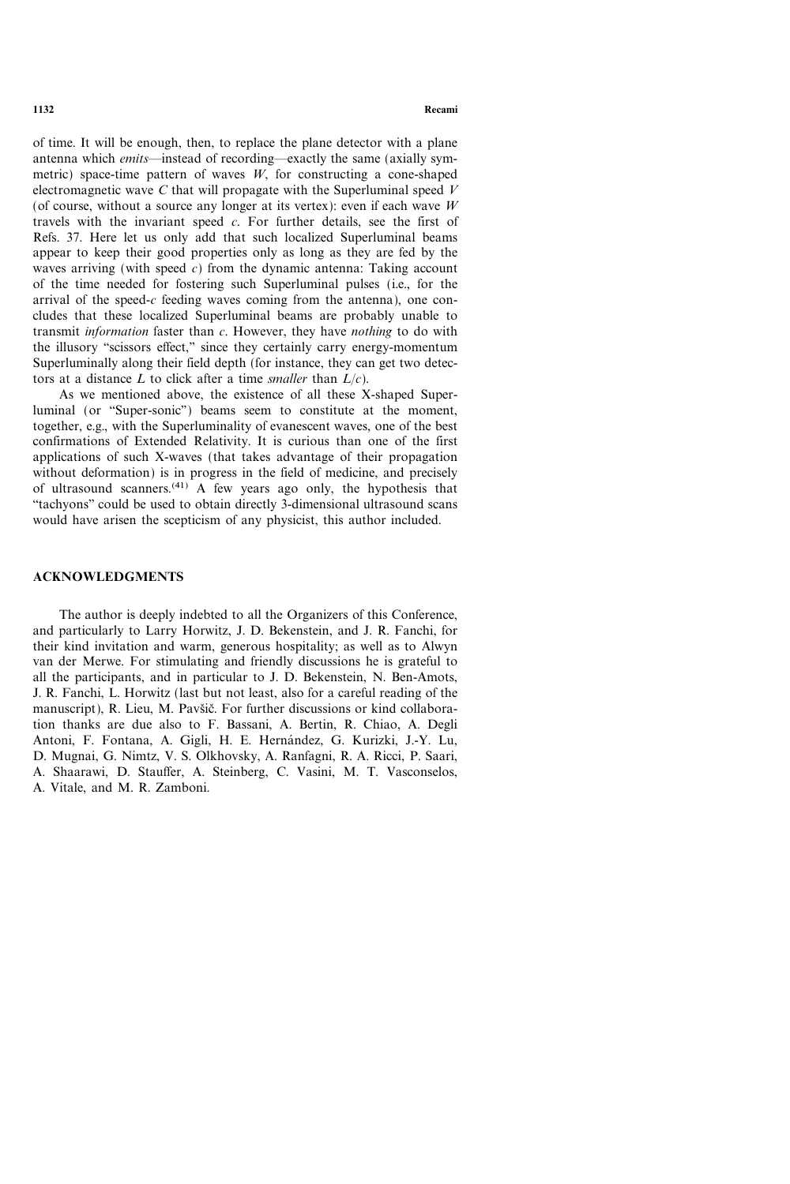of time. It will be enough, then, to replace the plane detector with a plane antenna which *emits*—instead of recording—exactly the same (axially symmetric) space-time pattern of waves  $W$ , for constructing a cone-shaped electromagnetic wave  $C$  that will propagate with the Superluminal speed  $V$ (of course, without a source any longer at its vertex): even if each wave  $W$ travels with the invariant speed  $c$ . For further details, see the first of Refs. 37. Here let us only add that such localized Superluminal beams appear to keep their good properties only as long as they are fed by the waves arriving (with speed  $\vec{c}$ ) from the dynamic antenna: Taking account of the time needed for fostering such Superluminal pulses (i.e., for the arrival of the speed- $c$  feeding waves coming from the antenna), one concludes that these localized Superluminal beams are probably unable to transmit *information* faster than  $c$ . However, they have *nothing* to do with the illusory "scissors effect," since they certainly carry energy-momentum Superluminally along their field depth (for instance, they can get two detectors at a distance L to click after a time smaller than  $L/c$ ).

As we mentioned above, the existence of all these X-shaped Superluminal (or "Super-sonic") beams seem to constitute at the moment, together, e.g., with the Superluminality of evanescent waves, one of the best confirmations of Extended Relativity. It is curious than one of the first applications of such X-waves (that takes advantage of their propagation without deformation) is in progress in the field of medicine, and precisely of ultrasound scanners.<sup> $(41)$ </sup> A few years ago only, the hypothesis that ``tachyons'' could be used to obtain directly 3-dimensional ultrasound scans would have arisen the scepticism of any physicist, this author included.

### ACKNOWLEDGMENTS

The author is deeply indebted to all the Organizers of this Conference, and particularly to Larry Horwitz, J. D. Bekenstein, and J. R. Fanchi, for their kind invitation and warm, generous hospitality; as well as to Alwyn van der Merwe. For stimulating and friendly discussions he is grateful to all the participants, and in particular to J. D. Bekenstein, N. Ben-Amots, J. R. Fanchi, L. Horwitz (last but not least, also for a careful reading of the manuscript), R. Lieu, M. Pavšič. For further discussions or kind collaboration thanks are due also to F. Bassani, A. Bertin, R. Chiao, A. Degli Antoni, F. Fontana, A. Gigli, H. E. Hernández, G. Kurizki, J.-Y. Lu, D. Mugnai, G. Nimtz, V. S. Olkhovsky, A. Ranfagni, R. A. Ricci, P. Saari, A. Shaarawi, D. Stauffer, A. Steinberg, C. Vasini, M. T. Vasconselos, A. Vitale, and M. R. Zamboni.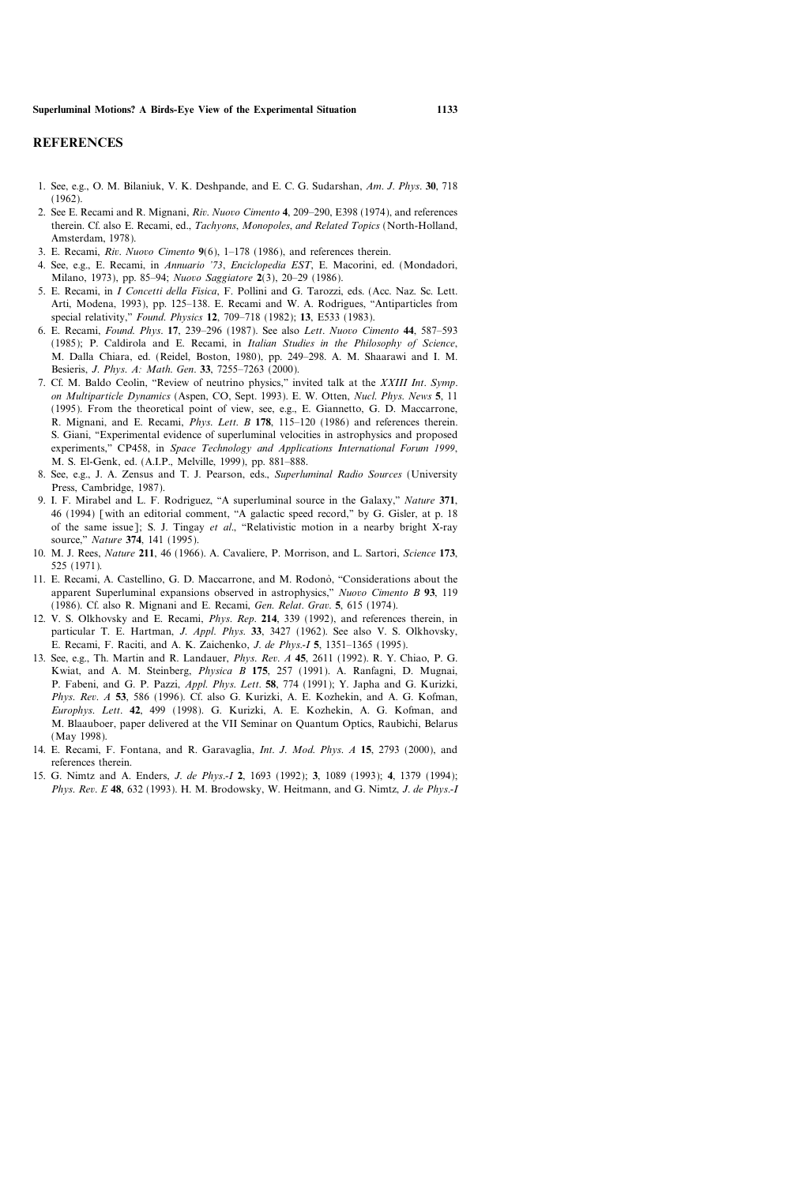#### REFERENCES

- 1. See, e.g., O. M. Bilaniuk, V. K. Deshpande, and E. C. G. Sudarshan, Am. J. Phys. 30, 718 (1962).
- 2. See E. Recami and R. Mignani, Riv. Nuovo Cimento 4, 209–290, E398 (1974), and references therein. Cf. also E. Recami, ed., Tachyons, Monopoles, and Related Topics (North-Holland, Amsterdam, 1978).
- 3. E. Recami,  $Riv$ . Nuovo Cimento  $9(6)$ , 1-178 (1986), and references therein.
- 4. See, e.g., E. Recami, in Annuario '73, Enciclopedia EST, E. Macorini, ed. (Mondadori, Milano, 1973), pp. 85-94; Nuovo Saggiatore 2(3), 20-29 (1986).
- 5. E. Recami, in I Concetti della Fisica, F. Pollini and G. Tarozzi, eds. (Acc. Naz. Sc. Lett. Arti, Modena, 1993), pp. 125–138. E. Recami and W. A. Rodrigues, "Antiparticles from special relativity," Found. Physics 12, 709-718 (1982); 13, E533 (1983).
- 6. E. Recami, Found. Phys. 17, 239-296 (1987). See also Lett. Nuovo Cimento 44, 587-593 (1985); P. Caldirola and E. Recami, in Italian Studies in the Philosophy of Science, M. Dalla Chiara, ed. (Reidel, Boston, 1980), pp. 249-298. A. M. Shaarawi and I. M. Besieris, J. Phys. A: Math. Gen. 33, 7255-7263 (2000).
- 7. Cf. M. Baldo Ceolin, "Review of neutrino physics," invited talk at the XXIII Int. Symp. on Multiparticle Dynamics (Aspen, CO, Sept. 1993). E. W. Otten, Nucl. Phys. News 5, 11 (1995). From the theoretical point of view, see, e.g., E. Giannetto, G. D. Maccarrone, R. Mignani, and E. Recami, *Phys. Lett. B* 178, 115-120 (1986) and references therein. S. Giani, "Experimental evidence of superluminal velocities in astrophysics and proposed experiments," CP458, in Space Technology and Applications International Forum 1999, M. S. El-Genk, ed. (A.I.P., Melville, 1999), pp. 881-888.
- 8. See, e.g., J. A. Zensus and T. J. Pearson, eds., Superluminal Radio Sources (University Press, Cambridge, 1987).
- 9. I. F. Mirabel and L. F. Rodriguez, "A superluminal source in the Galaxy," Nature 371, 46 (1994) [with an editorial comment, "A galactic speed record," by G. Gisler, at p. 18 of the same issue]; S. J. Tingay et al., "Relativistic motion in a nearby bright X-ray source," Nature 374, 141 (1995).
- 10. M. J. Rees, *Nature* 211, 46 (1966). A. Cavaliere, P. Morrison, and L. Sartori, *Science* 173, 525 (1971).
- 11. E. Recami, A. Castellino, G. D. Maccarrone, and M. Rodono, "Considerations about the apparent Superluminal expansions observed in astrophysics,'' Nuovo Cimento B 93, 119 (1986). Cf. also R. Mignani and E. Recami, Gen. Relat. Grav. 5, 615 (1974).
- 12. V. S. Olkhovsky and E. Recami, Phys. Rep. 214, 339 (1992), and references therein, in particular T. E. Hartman, J. Appl. Phys. 33, 3427 (1962). See also V. S. Olkhovsky, E. Recami, F. Raciti, and A. K. Zaichenko, J. de Phys.-I 5, 1351-1365 (1995).
- 13. See, e.g., Th. Martin and R. Landauer, Phys. Rev. A 45, 2611 (1992). R. Y. Chiao, P. G. Kwiat, and A. M. Steinberg, Physica B 175, 257 (1991). A. Ranfagni, D. Mugnai, P. Fabeni, and G. P. Pazzi, Appl. Phys. Lett. 58, 774 (1991); Y. Japha and G. Kurizki, Phys. Rev. A 53, 586 (1996). Cf. also G. Kurizki, A. E. Kozhekin, and A. G. Kofman, Europhys. Lett. 42, 499 (1998). G. Kurizki, A. E. Kozhekin, A. G. Kofman, and M. Blaauboer, paper delivered at the VII Seminar on Quantum Optics, Raubichi, Belarus (May 1998).
- 14. E. Recami, F. Fontana, and R. Garavaglia, Int. J. Mod. Phys. A 15, 2793 (2000), and references therein.
- 15. G. Nimtz and A. Enders, J. de Phys.-I 2, 1693 (1992); 3, 1089 (1993); 4, 1379 (1994); Phys. Rev. E 48, 632 (1993). H. M. Brodowsky, W. Heitmann, and G. Nimtz, J. de Phys.-I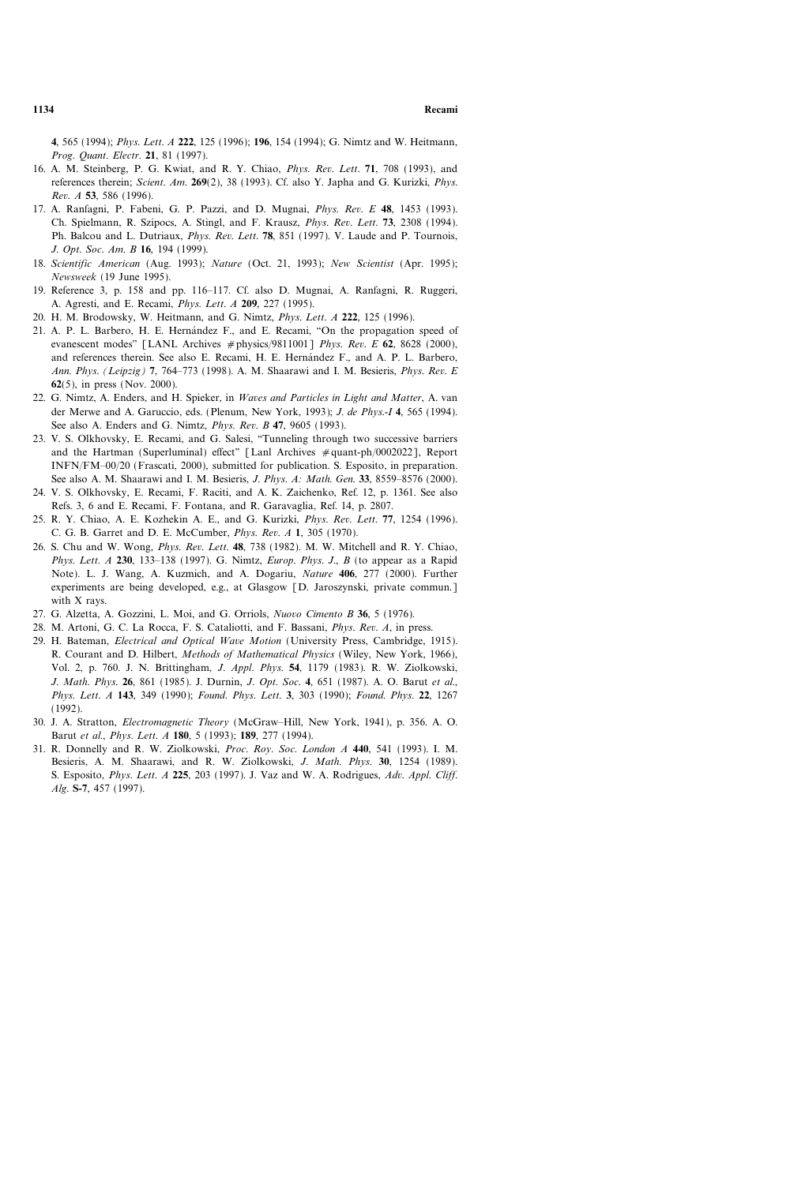4, 565 (1994); Phys. Lett. A 222, 125 (1996); 196, 154 (1994); G. Nimtz and W. Heitmann, Prog. Quant. Electr. 21, 81 (1997).

- 16. A. M. Steinberg, P. G. Kwiat, and R. Y. Chiao, Phys. Rev. Lett. 71, 708 (1993), and references therein; Scient. Am.  $269(2)$ , 38 (1993). Cf. also Y. Japha and G. Kurizki, *Phys.* Rev. A 53, 586 (1996).
- 17. A. Ranfagni, P. Fabeni, G. P. Pazzi, and D. Mugnai, Phys. Rev. E 48, 1453 (1993). Ch. Spielmann, R. Szipocs, A. Stingl, and F. Krausz, Phys. Rev. Lett. 73, 2308 (1994). Ph. Balcou and L. Dutriaux, *Phys. Rev. Lett.* **78**, 851 (1997). V. Laude and P. Tournois, J. Opt. Soc. Am. B 16, 194 (1999).
- 18. Scientific American (Aug. 1993); Nature (Oct. 21, 1993); New Scientist (Apr. 1995); Newsweek (19 June 1995).
- 19. Reference 3, p. 158 and pp. 116–117. Cf. also D. Mugnai, A. Ranfagni, R. Ruggeri, A. Agresti, and E. Recami, Phys. Lett. A 209, 227 (1995).
- 20. H. M. Brodowsky, W. Heitmann, and G. Nimtz, Phys. Lett. A 222, 125 (1996).
- 21. A. P. L. Barbero, H. E. Hernández F., and E. Recami, "On the propagation speed of evanescent modes" [LANL Archives  $#$  physics/9811001] Phys. Rev. E 62, 8628 (2000), and references therein. See also E. Recami, H. E. Hernández F., and A. P. L. Barbero, Ann. Phys. (Leipzig) 7, 764–773 (1998). A. M. Shaarawi and I. M. Besieris, Phys. Rev. E 62(5), in press (Nov. 2000).
- 22. G. Nimtz, A. Enders, and H. Spieker, in Waves and Particles in Light and Matter, A. van der Merwe and A. Garuccio, eds. (Plenum, New York, 1993); J. de Phys.-I 4, 565 (1994). See also A. Enders and G. Nimtz, *Phys. Rev. B* 47, 9605 (1993).
- 23. V. S. Olkhovsky, E. Recami, and G. Salesi, "Tunneling through two successive barriers and the Hartman (Superluminal) effect" [Lanl Archives  $\#$  quant-ph $/0002022$ ], Report INFNFM0020 (Frascati, 2000), submitted for publication. S. Esposito, in preparation. See also A. M. Shaarawi and I. M. Besieris, *J. Phys. A: Math. Gen.* 33, 8559-8576 (2000).
- 24. V. S. Olkhovsky, E. Recami, F. Raciti, and A. K. Zaichenko, Ref. 12, p. 1361. See also Refs. 3, 6 and E. Recami, F. Fontana, and R. Garavaglia, Ref. 14, p. 2807.
- 25. R. Y. Chiao, A. E. Kozhekin A. E., and G. Kurizki, Phys. Rev. Lett. 77, 1254 (1996). C. G. B. Garret and D. E. McCumber, Phys. Rev. A 1, 305 (1970).
- 26. S. Chu and W. Wong, Phys. Rev. Lett. 48, 738 (1982). M. W. Mitchell and R. Y. Chiao, Phys. Lett.  $A$  230, 133-138 (1997). G. Nimtz, Europ. Phys. J.,  $B$  (to appear as a Rapid Note). L. J. Wang, A. Kuzmich, and A. Dogariu, Nature 406, 277 (2000). Further experiments are being developed, e.g., at Glasgow [D. Jaroszynski, private commun.] with X rays.
- 27. G. Alzetta, A. Gozzini, L. Moi, and G. Orriols, Nuovo Cimento B 36, 5 (1976).
- 28. M. Artoni, G. C. La Rocca, F. S. Cataliotti, and F. Bassani, Phys. Rev. A, in press.
- 29. H. Bateman, *Electrical and Optical Wave Motion* (University Press, Cambridge, 1915). R. Courant and D. Hilbert, Methods of Mathematical Physics (Wiley, New York, 1966), Vol. 2, p. 760. J. N. Brittingham, J. Appl. Phys. 54, 1179 (1983). R. W. Ziolkowski, J. Math. Phys. 26, 861 (1985). J. Durnin, J. Opt. Soc. 4, 651 (1987). A. O. Barut et al., Phys. Lett. A 143, 349 (1990); Found. Phys. Lett. 3, 303 (1990); Found. Phys. 22, 1267 (1992).
- 30. J. A. Stratton, Electromagnetic Theory (McGrawHill, New York, 1941), p. 356. A. O. Barut et al., Phys. Lett. A 180, 5 (1993); 189, 277 (1994).
- 31. R. Donnelly and R. W. Ziolkowski, Proc. Roy. Soc. London A 440, 541 (1993). I. M. Besieris, A. M. Shaarawi, and R. W. Ziolkowski, J. Math. Phys. 30, 1254 (1989). S. Esposito, Phys. Lett. A 225, 203 (1997). J. Vaz and W. A. Rodrigues, Adv. Appl. Cliff. Alg. S-7, 457 (1997).